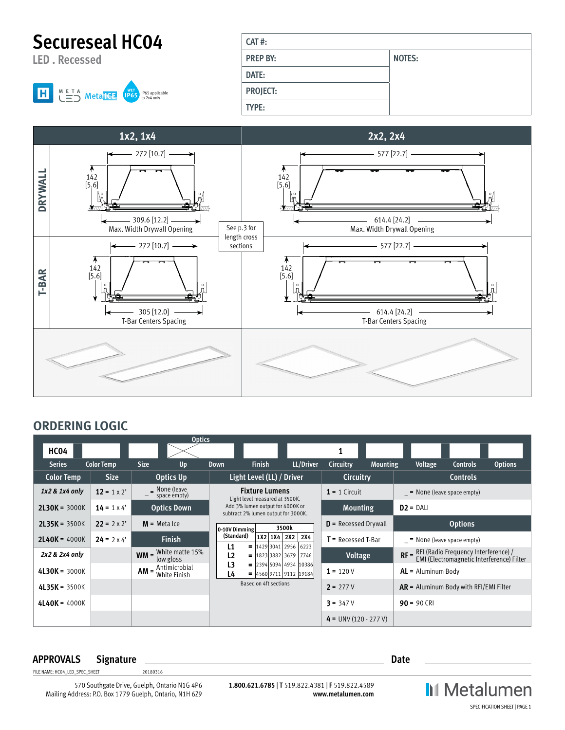**Secureseal HC04**

**LED . Recessed**



| $CAT$ #:        |               |
|-----------------|---------------|
|                 |               |
| <b>PREP BY:</b> | <b>NOTES:</b> |
| DATE:           |               |
| <b>PROJECT:</b> |               |
| <b>TYPE:</b>    |               |



## **ORDERING LOGIC**

|                   |                    |                | <b>Optics</b>                        |                  |                                                                         |                                                    |                         |                 |                                                                                  |                 |                |
|-------------------|--------------------|----------------|--------------------------------------|------------------|-------------------------------------------------------------------------|----------------------------------------------------|-------------------------|-----------------|----------------------------------------------------------------------------------|-----------------|----------------|
| HC04              |                    |                |                                      |                  |                                                                         |                                                    |                         |                 |                                                                                  |                 |                |
| <b>Series</b>     | <b>Color Temp</b>  | <b>Size</b>    | Up                                   | <b>Down</b>      | <b>Finish</b>                                                           | LL/Driver                                          | Circuitry               | <b>Mounting</b> | Voltage                                                                          | <b>Controls</b> | <b>Options</b> |
| <b>Color Temp</b> | <b>Size</b>        |                | <b>Optics Up</b>                     |                  | Light Level (LL) / Driver                                               |                                                    | Circuitry               |                 |                                                                                  | <b>Controls</b> |                |
| 1x2 & 1x4 only    | $12 = 1 \times 2'$ |                | $\equiv$ None (leave<br>space empty) |                  | <b>Fixture Lumens</b><br>Light level measured at 3500K.                 |                                                    | $1 = 1$ Circuit         |                 | $=$ None (leave space empty)                                                     |                 |                |
| $2L30K = 3000K$   | $14 = 1 \times 4'$ |                | <b>Optics Down</b>                   |                  | Add 3% lumen output for 4000K or<br>subtract 2% lumen output for 3000K. |                                                    | <b>Mounting</b>         |                 | $D2 = DAL$                                                                       |                 |                |
| $2L35K = 3500K$   | $22 = 2 \times 2'$ | $M$ = Meta Ice |                                      | $ 0-10V$ Dimming |                                                                         | 3500k                                              | $D$ = Recessed Drywall  |                 |                                                                                  | <b>Options</b>  |                |
| $2L40K = 4000K$   | $24 = 2 \times 4'$ |                | <b>Finish</b>                        | (Standard)<br>L1 |                                                                         | $1X2$ 1X4 2X2 2X4<br>$=  1429 3041 2956 6223$      | $T =$ Recessed T-Bar    |                 | $=$ None (leave space empty)                                                     |                 |                |
| 2x2 & 2x4 only    |                    |                | $WM =$ White matte 15%<br>low gloss  | L <sub>2</sub>   |                                                                         | $=$  1823 3882  3679   7746                        | Voltage                 |                 | $RF = \frac{RFI(Radio Frequency Interface)}{EMI(Electromagnetic Interference)}/$ |                 |                |
| $4L30K = 3000K$   |                    |                | $AM =$ Antimicrobial<br>White Finish | L3<br>L4         | $\blacksquare$                                                          | 2394 5094 4934 10386<br>$=  4560 9711 9112 19184 $ | $1 = 120V$              |                 | $AL =$ Aluminum Body                                                             |                 |                |
| $4L35K = 3500K$   |                    |                |                                      |                  | Based on 4ft sections                                                   |                                                    | $2 = 277V$              |                 | $AR =$ Aluminum Body with RFI/EMI Filter                                         |                 |                |
| $4L40K = 4000K$   |                    |                |                                      |                  |                                                                         |                                                    | $3 = 347V$              |                 | $90 = 90$ CRI                                                                    |                 |                |
|                   |                    |                |                                      |                  |                                                                         |                                                    | $4 = UNV (120 - 277 V)$ |                 |                                                                                  |                 |                |

## **APPROVALS Signature Date**

FILE NAME: HC04\_LED\_SPEC\_SHEET 20180316

570 Southgate Drive, Guelph, Ontario N1G 4P6 Mailing Address: P.O. Box 1779 Guelph, Ontario, N1H 6Z9

**1.800.621.6785** | **T** 519.822.4381 | **F** 519.822.4589 **www.metalumen.com** **II** Metalumen SPECIFICATION SHEET | PAGE 1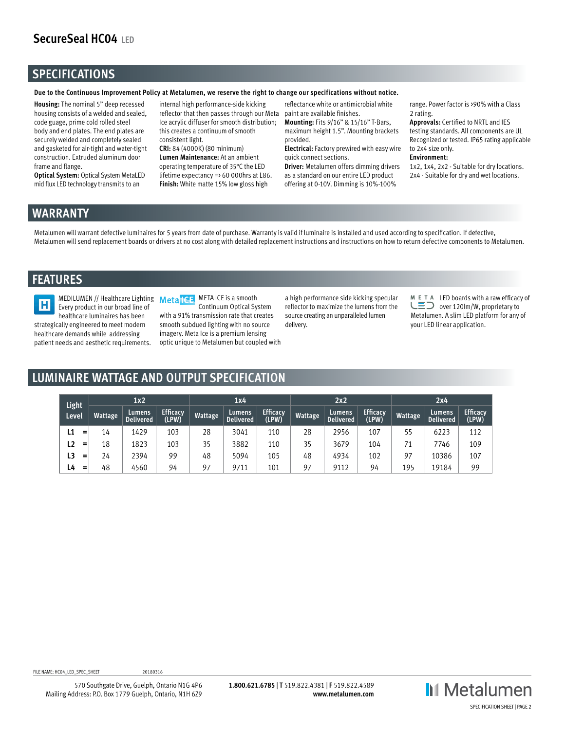# **SecureSeal HC04 LED**

## **SPECIFICATIONS**

**Due to the Continuous Improvement Policy at Metalumen, we reserve the right to change our specifications without notice.** 

**Housing:** The nominal 5" deep recessed housing consists of a welded and sealed, code guage, prime cold rolled steel body and end plates. The end plates are securely welded and completely sealed and gasketed for air-tight and water-tight construction. Extruded aluminum door frame and flange.

**Optical System:** Optical System MetaLED mid flux LED technology transmits to an

internal high performance-side kicking reflector that then passes through our Meta Ice acrylic diffuser for smooth distribution; this creates a continuum of smooth consistent light.

**CRI:** 84 (4000K) (80 minimum) **Lumen Maintenance:** At an ambient operating temperature of 35°C the LED lifetime expectancy => 60 000hrs at L86. **Finish:** White matte 15% low gloss high

reflectance white or antimicrobial white paint are available finishes.

**Mounting:** Fits 9/16" & 15/16" T-Bars, maximum height 1.5". Mounting brackets provided. **Electrical:** Factory prewired with easy wire

quick connect sections.

**Driver:** Metalumen offers dimming drivers as a standard on our entire LED product offering at 0-10V. Dimming is 10%-100%

range. Power factor is >90% with a Class 2 rating.

**Approvals:** Certified to NRTL and IES testing standards. All components are UL Recognized or tested. IP65 rating applicable to 2x4 size only.

#### **Environment:**

1x2, 1x4, 2x2 - Suitable for dry locations. 2x4 - Suitable for dry and wet locations.

## **WARRANTY**

Metalumen will warrant defective luminaires for 5 years from date of purchase. Warranty is valid if luminaire is installed and used according to specification. If defective, Metalumen will send replacement boards or drivers at no cost along with detailed replacement instructions and instructions on how to return defective components to Metalumen.

## **FEATURES**



Every product in our broad line of healthcare luminaires has been strategically engineered to meet modern healthcare demands while addressing patient needs and aesthetic requirements.

MEDILUMEN // Healthcare Lighting Metal CE META ICE is a smooth Continuum Optical System with a 91% transmission rate that creates smooth subdued lighting with no source imagery. Meta Ice is a premium lensing optic unique to Metalumen but coupled with

a high performance side kicking specular reflector to maximize the lumens from the source creating an unparalleled lumen delivery.

 $M$  E T A LED boards with a raw efficacy of  $\overline{\mathsf{L}}$  over 120lm/W, proprietary to Metalumen. A slim LED platform for any of your LED linear application.

## **LUMINAIRE WATTAGE AND OUTPUT SPECIFICATION**

| Light     | 1x2     |                            |                          | 1x4     |                            |                          | 2x2     |                            |                          | 2x4     |                            |                          |
|-----------|---------|----------------------------|--------------------------|---------|----------------------------|--------------------------|---------|----------------------------|--------------------------|---------|----------------------------|--------------------------|
| Level     | Wattage | Lumens<br><b>Delivered</b> | <b>Efficacy</b><br>(LPW) | Wattage | Lumens<br><b>Delivered</b> | <b>Efficacy</b><br>(LPW) | Wattage | Lumens<br><b>Delivered</b> | <b>Efficacy</b><br>(LPW) | Wattage | Lumens<br><b>Delivered</b> | <b>Efficacy</b><br>(LPW) |
| L1<br>=   | 14      | 1429                       | 103                      | 28      | 3041                       | 110                      | 28      | 2956                       | 107                      | 55      | 6223                       | 112                      |
| L2<br>$=$ | 18      | 1823                       | 103                      | 35      | 3882                       | 110                      | 35      | 3679                       | 104                      | 71      | 7746                       | 109                      |
| L3<br>$=$ | 24      | 2394                       | 99                       | 48      | 5094                       | 105                      | 48      | 4934                       | 102                      | 97      | 10386                      | 107                      |
| L4<br>$=$ | 48      | 4560                       | 94                       | 97      | 9711                       | 101                      | 97      | 9112                       | 94                       | 195     | 19184                      | 99                       |

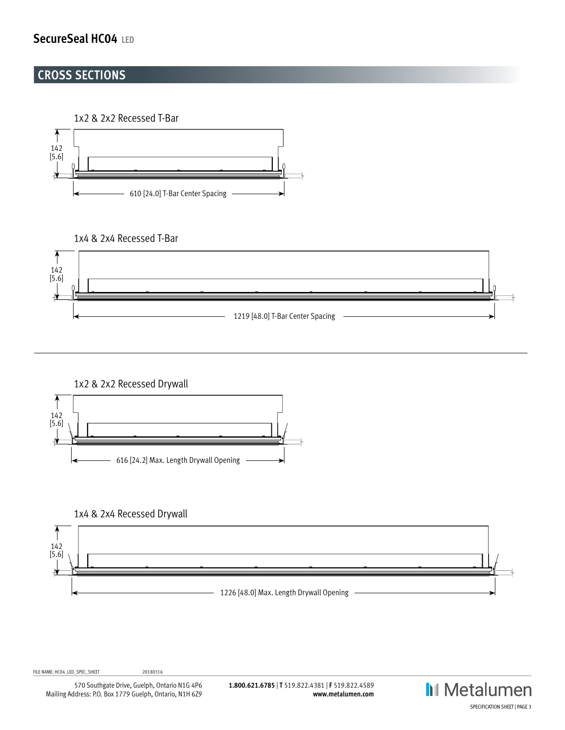# **SecureSeal HC04 LED**

## **CROSS SECTIONS**

1x2 & 2x2 Recessed T-Bar



### 1x4 & 2x4 Recessed T-Bar





1x4 & 2x4 Recessed Drywall



FILE NAME: HC04\_LED\_SPEC\_SHEET 20180316

570 Southgate Drive, Guelph, Ontario N1G 4P6 Mailing Address: P.O. Box 1779 Guelph, Ontario, N1H 6Z9

**1.800.621.6785** | **T** 519.822.4381 | **F** 519.822.4589 **www.metalumen.com** **II** Metalumen SPECIFICATION SHEET | PAGE 3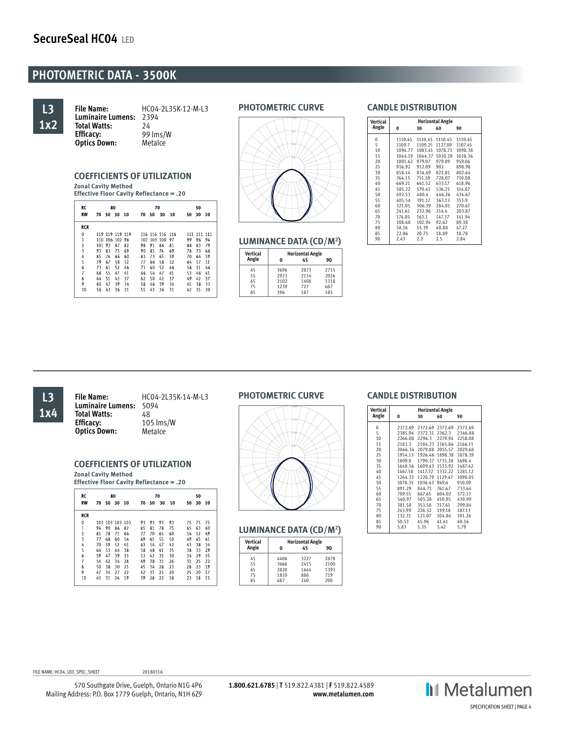# **PHOTOMETRIC DATA - 3500K**



**File Name:** HC04-2L35K-12-M-L3 **Luminaire Lumens:** 2394<br>**Total Watts:** 24 **Total Watts:**<br>Efficacv: **Efficacy:** 99 lms/W **Optics Down:** 

#### **COEFFICIENTS OF UTILIZATION Zonal Cavity Method**

**Effective Floor Cavity Reflectance = .20**

| RC             | 80  |    |                |    | 70 |             |                 |    | 50  |     |     |
|----------------|-----|----|----------------|----|----|-------------|-----------------|----|-----|-----|-----|
| <b>RW</b>      | 70  | 50 | 30             | 10 | 70 | 50          | 30              | 10 | 50  | 30  | 10  |
| <b>RCR</b>     |     |    |                |    |    |             |                 |    |     |     |     |
| $\mathbf{0}$   | 119 |    | 119 119 119    |    |    |             | 116 116 116 116 |    | 111 | 111 | 111 |
| $\mathbf{1}$   |     |    | 110 106 102 98 |    |    | 107 103 100 |                 | 97 | 99  | 96  | 94  |
| $\overline{2}$ | 101 | 93 | 87             | 82 | 98 | 91          | 86              | 81 | 88  | 83  | 79  |
| 3              | 93  | 83 | 75             | 69 | 90 | 81          | 74              | 69 | 78  | 73  | 68  |
| 4              | 85  | 74 | 66             | 60 | 83 | 73          | 65              | 59 | 70  | 64  | 59  |
| 5              | 79  | 67 | 58             | 52 | 77 | 66          | 58              | 52 | 64  | 57  | 51  |
| 6              | 73  | 61 | 52             | 46 | 71 | 60          | 52              | 46 | 58  | 51  | 46  |
| 7              | 68  | 55 | 47             | 41 | 66 | 54          | 47              | 41 | 53  | 46  | 41  |
| 8              | 64  | 51 | 43             | 37 | 62 | 50          | 42              | 37 | 49  | 42  | 37  |
| 9              | 60  | 47 | 39             | 34 | 58 | 46          | 39              | 34 | 45  | 38  | 33  |
| 10             | 56  | 43 | 36             | 31 | 55 | 43          | 36              | 31 | 42  | 35  | 30  |

### **PHOTOMETRIC CURVE**



#### **LUMINANCE DATA (CD/M2 )**

| <b>Vertical</b> | <b>Horizontal Angle</b> |      |      |  |  |  |  |
|-----------------|-------------------------|------|------|--|--|--|--|
| Angle           |                         | 45   | 90   |  |  |  |  |
| 45              | 3696                    | 2873 | 2715 |  |  |  |  |
| 55              | 2923                    | 2114 | 2026 |  |  |  |  |
| 65              | 2102                    | 1408 | 1318 |  |  |  |  |
| 75              | 1239                    | 727  | 687  |  |  |  |  |
| 85              | 396                     | 187  | 185  |  |  |  |  |

#### **CANDLE DISTRIBUTION**

| Vertical<br>Angle                                                                                      | 0                                                                                                                                                                                  | 30                                                                                                                                                                               | <b>Horizontal Angle</b><br>60                                                                                                                                                 | 90                                                                                                                                                                               |
|--------------------------------------------------------------------------------------------------------|------------------------------------------------------------------------------------------------------------------------------------------------------------------------------------|----------------------------------------------------------------------------------------------------------------------------------------------------------------------------------|-------------------------------------------------------------------------------------------------------------------------------------------------------------------------------|----------------------------------------------------------------------------------------------------------------------------------------------------------------------------------|
| 0<br>5<br>10<br>15<br>20<br>25<br>30<br>35<br>40<br>45<br>50<br>55<br>60<br>65<br>70<br>75<br>80<br>85 | 1110.45<br>1109.7<br>1094.77<br>1044.19<br>1001.62<br>916.92<br>858.14<br>764.15<br>669.21<br>585.22<br>492.53<br>405.54<br>321.05<br>241.61<br>174.05<br>108.68<br>58.16<br>22.86 | 1110.45<br>1109.25<br>1083.41<br>1044.37<br>979.07<br>912.09<br>834.69<br>751.59<br>661.52<br>570.41<br>480.4<br>391.17<br>306.39<br>232.96<br>163.1<br>102.94<br>55.39<br>20.75 | 1110.45<br>1127.09<br>1078.71<br>1030.29<br>979.89<br>902<br>822.81<br>728.07<br>633.17<br>536.21<br>446.26<br>363.13<br>284.01<br>214.4<br>147.37<br>92.62<br>48.88<br>18.89 | 1110.45<br>1107.45<br>1098.38<br>1028.36<br>959.06<br>898.98<br>802.64<br>710.08<br>618.96<br>514.07<br>434.67<br>353.9<br>270.67<br>203.87<br>141.94<br>89.38<br>47.27<br>18.78 |
| 90                                                                                                     | 2.43                                                                                                                                                                               | 2.2                                                                                                                                                                              | 2.5                                                                                                                                                                           | 2.84                                                                                                                                                                             |
|                                                                                                        |                                                                                                                                                                                    |                                                                                                                                                                                  |                                                                                                                                                                               |                                                                                                                                                                                  |

## **L3 1x4**

**File Name:** HC04-2L35K-14-M-L3 **Luminaire Lumens:** 5094 **Total Watts:**<br>**Efficacy: Efficacy:** 105 lms/W **Optics Down:** 

### **COEFFICIENTS OF UTILIZATION**

**Zonal Cavity Method Effective Floor Cavity Reflectance = .20**

| RC                      | 80  |    |             |    |    | 70 |    |    |    | 50 |    |
|-------------------------|-----|----|-------------|----|----|----|----|----|----|----|----|
| <b>RW</b>               | 70  | 50 | 30          | 10 | 70 | 50 | 30 | 10 | 50 | 30 | 10 |
| <b>RCR</b>              |     |    |             |    |    |    |    |    |    |    |    |
| 0                       | 103 |    | 103 103 103 |    | 93 | 93 | 93 | 93 | 75 | 75 | 75 |
| $\mathbf{1}$            | 94  | 90 | 86          | 82 | 85 | 81 | 78 | 75 | 65 | 63 | 60 |
| $\overline{\mathbf{c}}$ | 85  | 78 | 71          | 66 | 77 | 70 | 65 | 60 | 56 | 52 | 49 |
| 3                       | 77  | 68 | 60          | 54 | 69 | 61 | 55 | 50 | 49 | 45 | 41 |
| 4                       | 70  | 59 | 52          | 45 | 63 | 54 | 47 | 42 | 43 | 38 | 34 |
| 5                       | 64  | 53 | 44          | 38 | 58 | 48 | 41 | 35 | 38 | 33 | 29 |
| 6                       | 59  | 47 | 39          | 33 | 53 | 42 | 35 | 30 | 34 | 29 | 25 |
| 7                       | 54  | 42 | 34          | 28 | 49 | 38 | 31 | 26 | 31 | 25 | 22 |
| 8                       | 50  | 38 | 30          | 25 | 45 | 34 | 28 | 23 | 28 | 23 | 19 |
| 9                       | 47  | 34 | 27          | 22 | 42 | 31 | 25 | 20 | 25 | 20 | 17 |
| 10                      | 43  | 31 | 24          | 19 | 39 | 28 | 22 | 18 | 23 | 18 | 15 |

### **PHOTOMETRIC CURVE**



#### **LUMINANCE DATA (CD/M2 )**

| Vertical |      | <b>Horizontal Angle</b> |      |
|----------|------|-------------------------|------|
| Angle    | 0    | 45                      | 90   |
| 45       | 4406 | 3227                    | 2878 |
| 55       | 3666 | 2415                    | 2100 |
| 65       | 2820 | 1644                    | 1393 |
| 75       | 1810 | 886                     | 719  |
| 85       | 687  | 240                     | 200  |

### **CANDLE DISTRIBUTION**

| Vertical | <b>Horizontal Angle</b> |         |                 |         |  |  |  |
|----------|-------------------------|---------|-----------------|---------|--|--|--|
| Angle    | 0                       | 30      | 60              | 90      |  |  |  |
| 0        | 2372.69                 | 2372.69 | 2372.69         | 2372.69 |  |  |  |
| 5        | 2385.94                 | 2372.31 | 2362.3          | 2346.88 |  |  |  |
| 10       | 2266.08                 | 2296.3  | 2279.94         | 2258.08 |  |  |  |
| 15       | 2183.3                  | 2184.23 | 2165.86         | 2166.11 |  |  |  |
| 20       | 2066.34                 |         | 2079.88 2055.57 | 2029.68 |  |  |  |
| 25       | 1954.13                 |         | 1926.46 1898.38 | 1878.39 |  |  |  |
| 30       | 1809.8                  | 1790.37 | 1731.28         | 1698.4  |  |  |  |
| 35       | 1648.56                 | 1609.43 | 1533.92         | 1487.42 |  |  |  |
| 40       | 1467.58                 | 1417.32 | 1332.22         | 1281.12 |  |  |  |
| 45       | 1264.33                 | 1220.79 | 1129.47         | 1090.05 |  |  |  |
| 50       | 1078.35                 | 1036.43 | 949.6           | 910.09  |  |  |  |
| 55       | 891.29                  | 844.71  | 761.67          | 733.64  |  |  |  |
| 60       | 709.55                  | 667.65  | 604.02          | 572.13  |  |  |  |
| 65       | 540.97                  | 505.28  | 450.95          | 430.99  |  |  |  |
| 70       | 381.58                  | 353.58  | 317.61          | 299.84  |  |  |  |
| 75       | 243.99                  | 226.52  | 199.18          | 187.13  |  |  |  |
| 80       | 132.31                  | 121.07  | 104.84          | 101.26  |  |  |  |
| 85       | 50.53                   | 45.96   | 41.61           | 40.56   |  |  |  |
| 90       | 5.83                    | 5.35    | 5.42            | 5.79    |  |  |  |



570 Southgate Drive, Guelph, Ontario N1G 4P6

FILE NAME: HC04\_LED\_SPEC\_SHEET 20180316

Mailing Address: P.O. Box 1779 Guelph, Ontario, N1H 6Z9